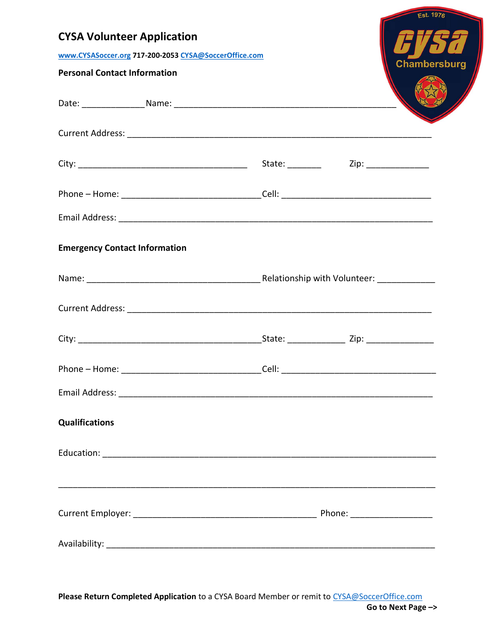|                                                       |       | <b>Est. 1976</b> |
|-------------------------------------------------------|-------|------------------|
| <b>CYSA Volunteer Application</b>                     |       |                  |
| www.CYSASoccer.org 717-200-2053 CYSA@SoccerOffice.com |       | Chambersburg     |
| <b>Personal Contact Information</b>                   |       |                  |
|                                                       |       |                  |
|                                                       |       |                  |
|                                                       |       |                  |
|                                                       |       |                  |
|                                                       |       |                  |
| <b>Emergency Contact Information</b>                  |       |                  |
|                                                       |       |                  |
|                                                       |       |                  |
|                                                       |       |                  |
| Phone - Home:                                         | Cell: |                  |
|                                                       |       |                  |
| <b>Qualifications</b>                                 |       |                  |
|                                                       |       |                  |
|                                                       |       |                  |
|                                                       |       |                  |

Please Return Completed Application to a CYSA Board Member or remit to CYSA@SoccerOffice.com Go to Next Page –>